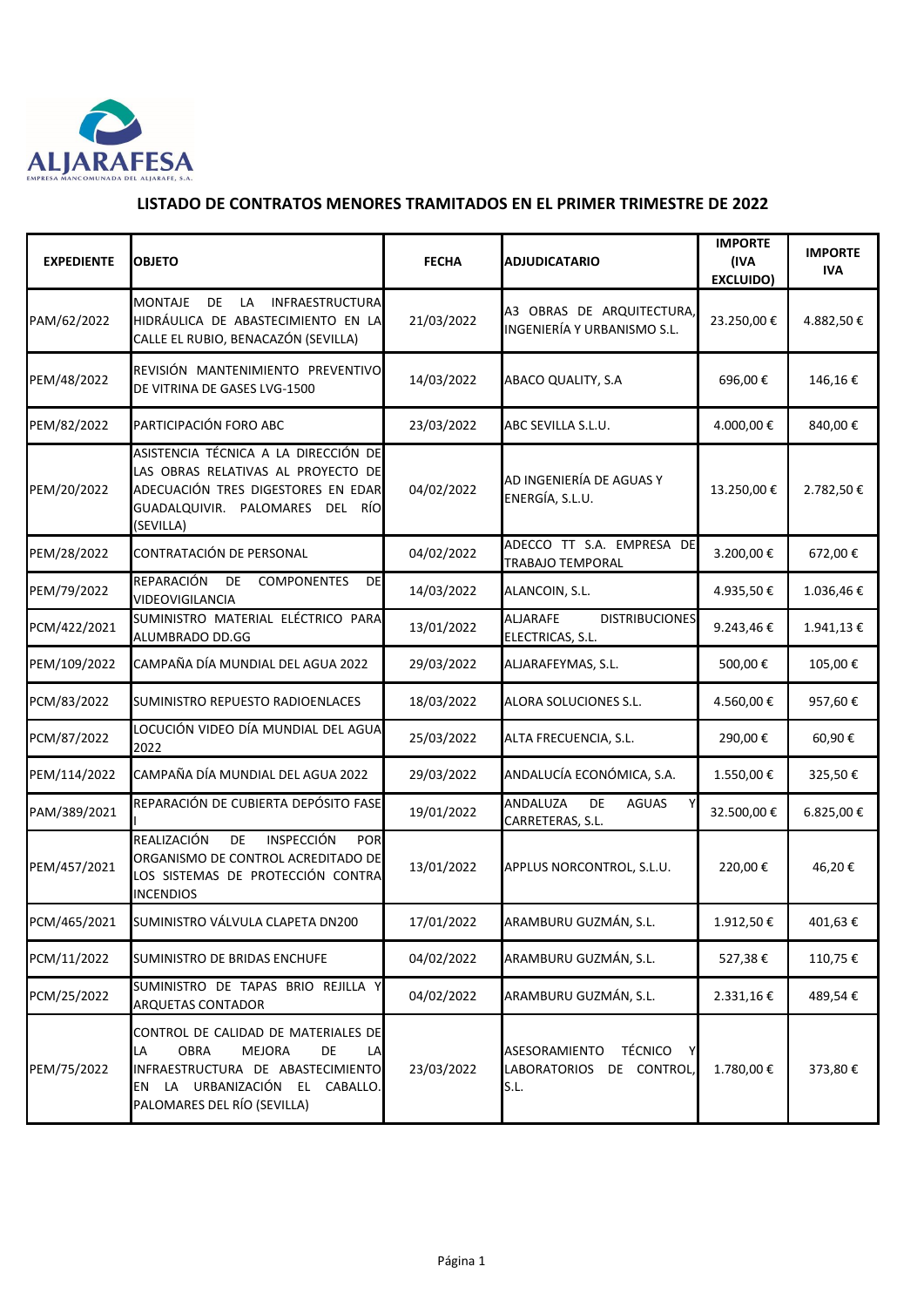

## **LISTADO DE CONTRATOS MENORES TRAMITADOS EN EL PRIMER TRIMESTRE DE 2022**

| <b>EXPEDIENTE</b> | <b>OBJETO</b>                                                                                                                                                                                  | <b>FECHA</b> | <b>ADJUDICATARIO</b>                                                               | <b>IMPORTE</b><br>(IVA<br><b>EXCLUIDO)</b> | <b>IMPORTE</b><br><b>IVA</b> |
|-------------------|------------------------------------------------------------------------------------------------------------------------------------------------------------------------------------------------|--------------|------------------------------------------------------------------------------------|--------------------------------------------|------------------------------|
| PAM/62/2022       | <b>MONTAJE</b><br>DE<br>LA<br><b>INFRAESTRUCTURA</b><br>HIDRÁULICA DE ABASTECIMIENTO EN LA<br>CALLE EL RUBIO, BENACAZÓN (SEVILLA)                                                              | 21/03/2022   | A3 OBRAS DE ARQUITECTURA,<br>INGENIERÍA Y URBANISMO S.L.                           | 23.250,00€                                 | 4.882,50€                    |
| PEM/48/2022       | REVISIÓN MANTENIMIENTO PREVENTIVO<br>DE VITRINA DE GASES LVG-1500                                                                                                                              | 14/03/2022   | ABACO QUALITY, S.A                                                                 | 696,00€                                    | 146,16€                      |
| PEM/82/2022       | PARTICIPACIÓN FORO ABC                                                                                                                                                                         | 23/03/2022   | ABC SEVILLA S.L.U.                                                                 | 4.000,00 €                                 | 840,00€                      |
| PEM/20/2022       | ASISTENCIA TÉCNICA A LA DIRECCIÓN DE<br>LAS OBRAS RELATIVAS AL PROYECTO DE<br>ADECUACIÓN TRES DIGESTORES EN EDAR<br>GUADALQUIVIR. PALOMARES<br><b>DEL</b><br>RÍO<br>(SEVILLA)                  | 04/02/2022   | AD INGENIERÍA DE AGUAS Y<br>ENERGÍA, S.L.U.                                        | 13.250,00€                                 | 2.782,50€                    |
| PEM/28/2022       | CONTRATACIÓN DE PERSONAL                                                                                                                                                                       | 04/02/2022   | ADECCO TT S.A. EMPRESA DE<br>TRABAJO TEMPORAL                                      | 3.200,00€                                  | 672,00€                      |
| PEM/79/2022       | REPARACIÓN<br>DE<br><b>COMPONENTES</b><br>DE<br>VIDEOVIGILANCIA                                                                                                                                | 14/03/2022   | ALANCOIN, S.L.                                                                     | 4.935,50€                                  | 1.036,46€                    |
| PCM/422/2021      | SUMINISTRO MATERIAL ELÉCTRICO PARA<br>ALUMBRADO DD.GG                                                                                                                                          | 13/01/2022   | <b>ALJARAFE</b><br><b>DISTRIBUCIONES</b><br>ELECTRICAS, S.L.                       | 9.243,46€                                  | 1.941,13€                    |
| PEM/109/2022      | CAMPAÑA DÍA MUNDIAL DEL AGUA 2022                                                                                                                                                              | 29/03/2022   | ALJARAFEYMAS, S.L.                                                                 | 500,00€                                    | 105,00€                      |
| PCM/83/2022       | SUMINISTRO REPUESTO RADIOENLACES                                                                                                                                                               | 18/03/2022   | ALORA SOLUCIONES S.L.                                                              | 4.560,00€                                  | 957,60€                      |
| PCM/87/2022       | LOCUCIÓN VIDEO DÍA MUNDIAL DEL AGUA<br>2022                                                                                                                                                    | 25/03/2022   | ALTA FRECUENCIA, S.L.                                                              | 290,00€                                    | 60,90€                       |
| PEM/114/2022      | CAMPAÑA DÍA MUNDIAL DEL AGUA 2022                                                                                                                                                              | 29/03/2022   | ANDALUCÍA ECONÓMICA, S.A.                                                          | 1.550,00€                                  | 325,50€                      |
| PAM/389/2021      | REPARACIÓN DE CUBIERTA DEPÓSITO FASE                                                                                                                                                           | 19/01/2022   | <b>ANDALUZA</b><br>DE.<br><b>AGUAS</b><br>v<br>CARRETERAS, S.L.                    | 32.500,00€                                 | 6.825,00€                    |
| PEM/457/2021      | <b>INSPECCIÓN</b><br>REALIZACIÓN<br>DE<br><b>POR</b><br>ORGANISMO DE CONTROL ACREDITADO DE<br>LOS SISTEMAS DE PROTECCIÓN CONTRA<br><b>INCENDIOS</b>                                            | 13/01/2022   | APPLUS NORCONTROL, S.L.U.                                                          | 220,00€                                    | 46,20€                       |
| PCM/465/2021      | SUMINISTRO VÁLVULA CLAPETA DN200                                                                                                                                                               | 17/01/2022   | ARAMBURU GUZMÁN, S.L.                                                              | 1.912,50€                                  | 401,63€                      |
| PCM/11/2022       | SUMINISTRO DE BRIDAS ENCHUFE                                                                                                                                                                   | 04/02/2022   | ARAMBURU GUZMÁN, S.L.                                                              | 527,38€                                    | 110,75€                      |
| PCM/25/2022       | SUMINISTRO DE TAPAS BRIO REJILLA Y<br><b>ARQUETAS CONTADOR</b>                                                                                                                                 | 04/02/2022   | ARAMBURU GUZMÁN, S.L.                                                              | 2.331,16€                                  | 489,54€                      |
| PEM/75/2022       | CONTROL DE CALIDAD DE MATERIALES DE<br>LA<br><b>OBRA</b><br><b>MEJORA</b><br>DE<br>LA<br>INFRAESTRUCTURA DE ABASTECIMIENTO<br>LA URBANIZACIÓN EL CABALLO.<br>EN<br>PALOMARES DEL RÍO (SEVILLA) | 23/03/2022   | <b>TÉCNICO</b><br>ASESORAMIENTO<br>Y<br>DE CONTROL,<br><b>LABORATORIOS</b><br>S.L. | 1.780,00€                                  | 373,80€                      |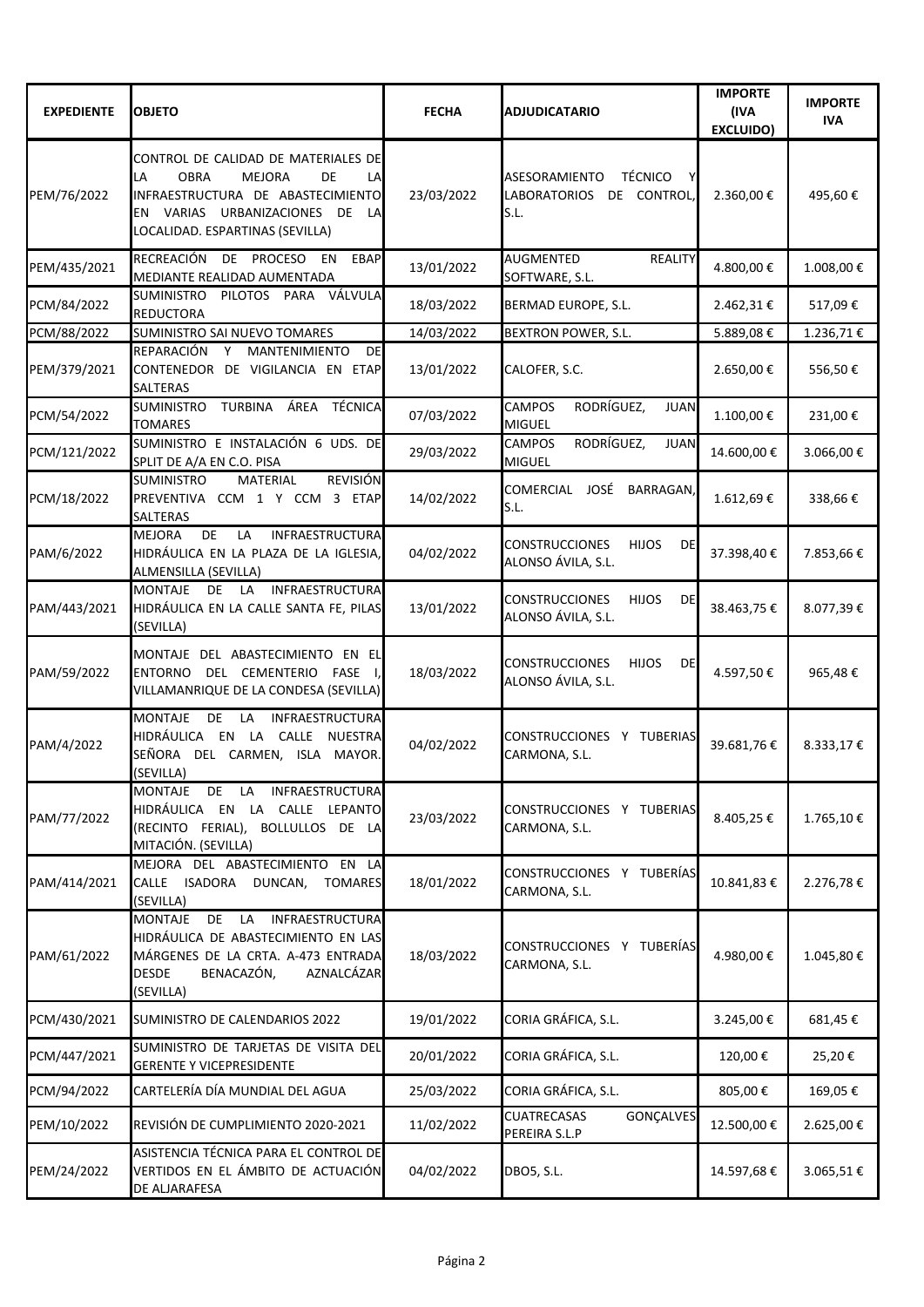| <b>EXPEDIENTE</b> | <b>OBJETO</b>                                                                                                                                                                                     | <b>FECHA</b> | <b>ADJUDICATARIO</b>                                                          | <b>IMPORTE</b><br>(IVA<br><b>EXCLUIDO)</b> | <b>IMPORTE</b><br><b>IVA</b> |
|-------------------|---------------------------------------------------------------------------------------------------------------------------------------------------------------------------------------------------|--------------|-------------------------------------------------------------------------------|--------------------------------------------|------------------------------|
| PEM/76/2022       | CONTROL DE CALIDAD DE MATERIALES DE<br><b>OBRA</b><br><b>MEJORA</b><br>DE<br>LA<br>LA<br>INFRAESTRUCTURA DE ABASTECIMIENTO<br>EN VARIAS URBANIZACIONES DE LA<br>LOCALIDAD. ESPARTINAS (SEVILLA)   | 23/03/2022   | <b>TÉCNICO</b><br>ASESORAMIENTO<br><b>LABORATORIOS</b><br>DE CONTROL,<br>S.L. | 2.360,00€                                  | 495,60€                      |
| PEM/435/2021      | <b>RECREACIÓN</b><br>DE PROCESO<br><b>EBAP</b><br>EN<br>MEDIANTE REALIDAD AUMENTADA                                                                                                               | 13/01/2022   | <b>AUGMENTED</b><br><b>REALITY</b><br>SOFTWARE, S.L.                          | 4.800,00€                                  | 1.008,00€                    |
| PCM/84/2022       | VÁLVULA<br><b>SUMINISTRO</b><br>PILOTOS PARA<br><b>REDUCTORA</b>                                                                                                                                  | 18/03/2022   | BERMAD EUROPE, S.L.                                                           | 2.462,31€                                  | 517,09€                      |
| PCM/88/2022       | SUMINISTRO SAI NUEVO TOMARES                                                                                                                                                                      | 14/03/2022   | BEXTRON POWER, S.L.                                                           | 5.889,08€                                  | 1.236,71€                    |
| PEM/379/2021      | <b>REPARACIÓN</b><br>Y<br><b>MANTENIMIENTO</b><br>DE<br>CONTENEDOR DE VIGILANCIA EN ETAP<br><b>SALTERAS</b>                                                                                       | 13/01/2022   | CALOFER, S.C.                                                                 | 2.650,00 €                                 | 556,50€                      |
| PCM/54/2022       | ÁREA TÉCNICA<br><b>SUMINISTRO</b><br>TURBINA<br><b>TOMARES</b>                                                                                                                                    | 07/03/2022   | <b>CAMPOS</b><br>RODRÍGUEZ,<br><b>JUAN</b><br><b>MIGUEL</b>                   | 1.100,00€                                  | 231,00€                      |
| PCM/121/2022      | SUMINISTRO E INSTALACIÓN 6 UDS. DE<br>SPLIT DE A/A EN C.O. PISA                                                                                                                                   | 29/03/2022   | RODRÍGUEZ,<br><b>CAMPOS</b><br><b>JUAN</b><br><b>MIGUEL</b>                   | 14.600,00€                                 | 3.066,00€                    |
| PCM/18/2022       | <b>REVISIÓN</b><br><b>SUMINISTRO</b><br><b>MATERIAL</b><br>PREVENTIVA CCM 1 Y CCM 3 ETAP<br><b>SALTERAS</b>                                                                                       | 14/02/2022   | COMERCIAL JOSÉ<br>BARRAGAN,<br>S.L.                                           | 1.612,69€                                  | 338,66€                      |
| PAM/6/2022        | DE<br>LA<br><b>INFRAESTRUCTURA</b><br><b>MEJORA</b><br>HIDRÁULICA EN LA PLAZA DE LA IGLESIA,<br>ALMENSILLA (SEVILLA)                                                                              | 04/02/2022   | <b>CONSTRUCCIONES</b><br><b>HIJOS</b><br><b>DE</b><br>ALONSO ÁVILA, S.L.      | 37.398,40€                                 | 7.853,66€                    |
| PAM/443/2021      | <b>MONTAJE</b><br>DE<br>LA<br><b>INFRAESTRUCTURA</b><br>HIDRÁULICA EN LA CALLE SANTA FE, PILAS<br>(SEVILLA)                                                                                       | 13/01/2022   | <b>CONSTRUCCIONES</b><br><b>HIJOS</b><br><b>DE</b><br>ALONSO ÁVILA, S.L.      | 38.463,75€                                 | 8.077,39€                    |
| PAM/59/2022       | MONTAJE DEL ABASTECIMIENTO EN ELI<br><b>ENTORNO</b><br>DEL CEMENTERIO FASE<br>VILLAMANRIQUE DE LA CONDESA (SEVILLA)                                                                               | 18/03/2022   | <b>CONSTRUCCIONES</b><br><b>HIJOS</b><br><b>DE</b><br>ALONSO ÁVILA, S.L.      | 4.597,50€                                  | 965,48€                      |
| PAM/4/2022        | <b>MONTAJE</b><br>DE<br><b>INFRAESTRUCTURA</b><br>LA<br>HIDRÁULICA EN LA CALLE<br><b>NUESTRA</b><br>SEÑORA DEL CARMEN, ISLA MAYOR.<br>(SEVILLA)                                                   | 04/02/2022   | CONSTRUCCIONES Y TUBERIAS<br>CARMONA, S.L.                                    | 39.681,76€                                 | 8.333,17€                    |
| PAM/77/2022       | <b>INFRAESTRUCTURA</b><br><b>MONTAJE</b><br>DE<br>LA<br>HIDRÁULICA EN LA CALLE<br><b>LEPANTO</b><br>(RECINTO FERIAL), BOLLULLOS DE LA<br>MITACIÓN. (SEVILLA)                                      | 23/03/2022   | <b>CONSTRUCCIONES</b><br>Y TUBERIAS<br>CARMONA, S.L.                          | 8.405,25€                                  | 1.765,10€                    |
| PAM/414/2021      | MEJORA DEL ABASTECIMIENTO EN LA<br>CALLE ISADORA<br>DUNCAN,<br><b>TOMARES</b><br>(SEVILLA)                                                                                                        | 18/01/2022   | CONSTRUCCIONES Y TUBERÍAS<br>CARMONA, S.L.                                    | 10.841,83€                                 | 2.276,78€                    |
| PAM/61/2022       | <b>INFRAESTRUCTURA</b><br><b>MONTAJE</b><br>DE<br><b>LA</b><br>HIDRÁULICA DE ABASTECIMIENTO EN LAS<br>MÁRGENES DE LA CRTA. A-473 ENTRADA<br>BENACAZÓN,<br>AZNALCÁZAR<br><b>DESDE</b><br>(SEVILLA) | 18/03/2022   | CONSTRUCCIONES Y TUBERÍAS<br>CARMONA, S.L.                                    | 4.980,00€                                  | 1.045,80€                    |
| PCM/430/2021      | SUMINISTRO DE CALENDARIOS 2022                                                                                                                                                                    | 19/01/2022   | CORIA GRÁFICA, S.L.                                                           | 3.245,00€                                  | 681,45€                      |
| PCM/447/2021      | SUMINISTRO DE TARJETAS DE VISITA DEL<br><b>GERENTE Y VICEPRESIDENTE</b>                                                                                                                           | 20/01/2022   | CORIA GRÁFICA, S.L.                                                           | 120,00€                                    | 25,20€                       |
| PCM/94/2022       | CARTELERÍA DÍA MUNDIAL DEL AGUA                                                                                                                                                                   | 25/03/2022   | CORIA GRÁFICA, S.L.                                                           | 805,00€                                    | 169,05€                      |
| PEM/10/2022       | REVISIÓN DE CUMPLIMIENTO 2020-2021                                                                                                                                                                | 11/02/2022   | <b>CUATRECASAS</b><br><b>GONÇALVES</b><br>PEREIRA S.L.P                       | 12.500,00€                                 | 2.625,00€                    |
| PEM/24/2022       | ASISTENCIA TÉCNICA PARA EL CONTROL DE<br>VERTIDOS EN EL ÁMBITO DE ACTUACIÓN<br>DE ALJARAFESA                                                                                                      | 04/02/2022   | DBO5, S.L.                                                                    | 14.597,68€                                 | 3.065,51€                    |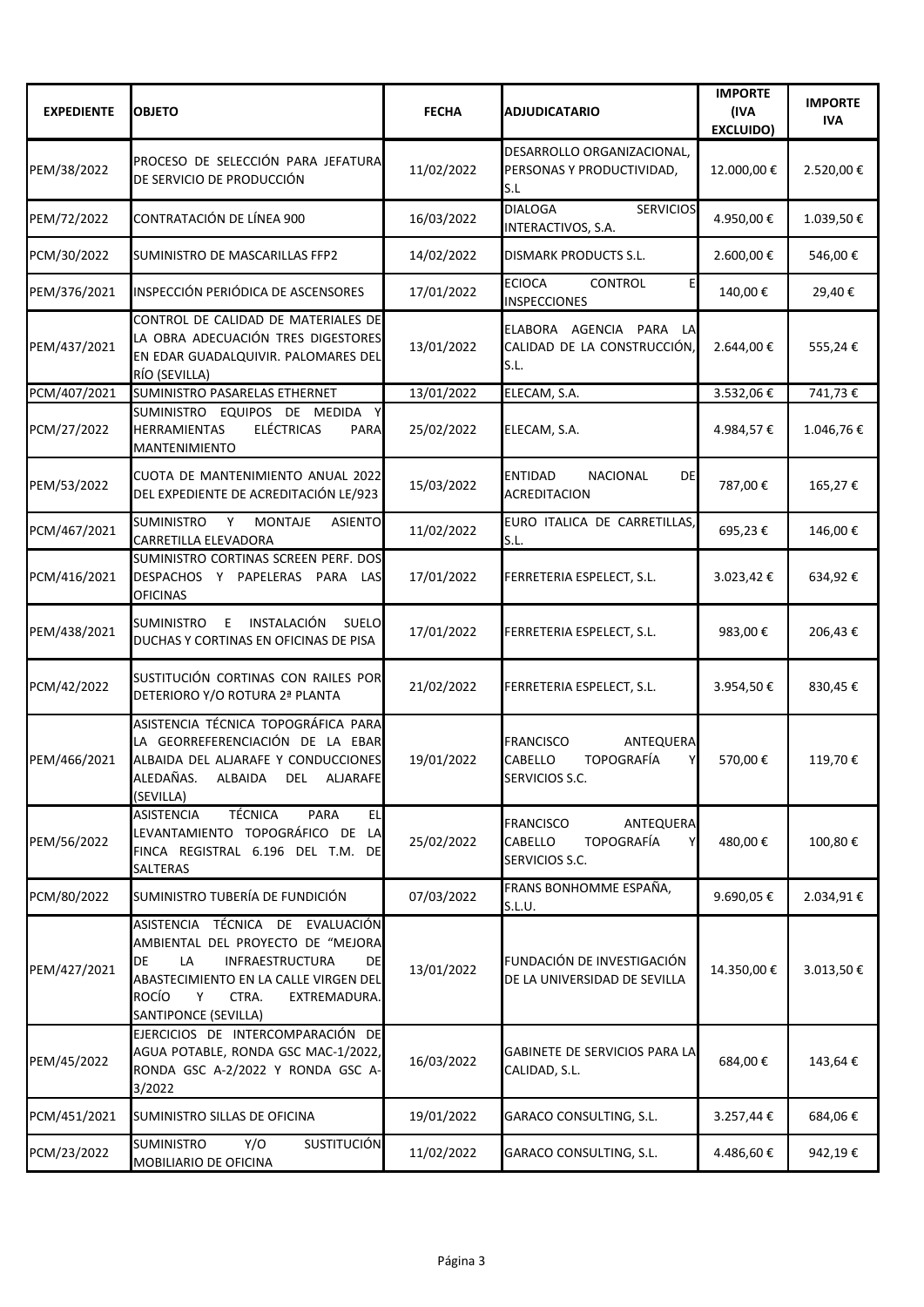| <b>EXPEDIENTE</b> | <b>OBJETO</b>                                                                                                                                                                                                                    | <b>FECHA</b> | <b>ADJUDICATARIO</b>                                                                        | <b>IMPORTE</b><br>(IVA<br><b>EXCLUIDO)</b> | <b>IMPORTE</b><br><b>IVA</b> |
|-------------------|----------------------------------------------------------------------------------------------------------------------------------------------------------------------------------------------------------------------------------|--------------|---------------------------------------------------------------------------------------------|--------------------------------------------|------------------------------|
| PEM/38/2022       | PROCESO DE SELECCIÓN PARA JEFATURA<br>DE SERVICIO DE PRODUCCIÓN                                                                                                                                                                  | 11/02/2022   | DESARROLLO ORGANIZACIONAL,<br>PERSONAS Y PRODUCTIVIDAD,<br>S.L                              | 12.000,00€                                 | 2.520,00€                    |
| PEM/72/2022       | CONTRATACIÓN DE LÍNEA 900                                                                                                                                                                                                        | 16/03/2022   | <b>DIALOGA</b><br><b>SERVICIOS</b><br>INTERACTIVOS, S.A.                                    | 4.950,00€                                  | 1.039,50€                    |
| PCM/30/2022       | SUMINISTRO DE MASCARILLAS FFP2                                                                                                                                                                                                   | 14/02/2022   | <b>DISMARK PRODUCTS S.L.</b>                                                                | 2.600,00 €                                 | 546,00€                      |
| PEM/376/2021      | INSPECCIÓN PERIÓDICA DE ASCENSORES                                                                                                                                                                                               | 17/01/2022   | <b>ECIOCA</b><br><b>CONTROL</b><br>E<br><b>INSPECCIONES</b>                                 | 140,00€                                    | 29,40€                       |
| PEM/437/2021      | CONTROL DE CALIDAD DE MATERIALES DE<br>LA OBRA ADECUACIÓN TRES DIGESTORES<br>EN EDAR GUADALQUIVIR. PALOMARES DEL<br>RÍO (SEVILLA)                                                                                                | 13/01/2022   | <b>ELABORA</b><br>AGENCIA<br>PARA<br>LAI<br>CALIDAD DE LA CONSTRUCCIÓN,<br>S.L.             | 2.644,00€                                  | 555,24€                      |
| PCM/407/2021      | SUMINISTRO PASARELAS ETHERNET                                                                                                                                                                                                    | 13/01/2022   | ELECAM, S.A.                                                                                | 3.532,06€                                  | 741,73€                      |
| PCM/27/2022       | SUMINISTRO<br>EQUIPOS DE MEDIDA Y<br><b>ELÉCTRICAS</b><br><b>HERRAMIENTAS</b><br><b>PARA</b><br><b>MANTENIMIENTO</b>                                                                                                             | 25/02/2022   | ELECAM, S.A.                                                                                | 4.984,57€                                  | 1.046,76€                    |
| PEM/53/2022       | CUOTA DE MANTENIMIENTO ANUAL 2022<br>DEL EXPEDIENTE DE ACREDITACIÓN LE/923                                                                                                                                                       | 15/03/2022   | <b>ENTIDAD</b><br><b>NACIONAL</b><br><b>DE</b><br><b>ACREDITACION</b>                       | 787,00€                                    | 165,27€                      |
| PCM/467/2021      | <b>SUMINISTRO</b><br>Y<br><b>MONTAJE</b><br><b>ASIENTO</b><br><b>CARRETILLA ELEVADORA</b>                                                                                                                                        | 11/02/2022   | EURO ITALICA DE CARRETILLAS,<br>S.L.                                                        | 695,23€                                    | 146,00€                      |
| PCM/416/2021      | SUMINISTRO CORTINAS SCREEN PERF. DOS<br>DESPACHOS Y<br>PAPELERAS PARA<br>LAS<br><b>OFICINAS</b>                                                                                                                                  | 17/01/2022   | FERRETERIA ESPELECT, S.L.                                                                   | 3.023,42€                                  | 634,92€                      |
| PEM/438/2021      | INSTALACIÓN<br><b>SUMINISTRO</b><br><b>SUELO</b><br>E.<br>DUCHAS Y CORTINAS EN OFICINAS DE PISA                                                                                                                                  | 17/01/2022   | FERRETERIA ESPELECT, S.L.                                                                   | 983,00€                                    | 206,43€                      |
| PCM/42/2022       | SUSTITUCIÓN CORTINAS CON RAILES POR<br>DETERIORO Y/O ROTURA 2ª PLANTA                                                                                                                                                            | 21/02/2022   | FERRETERIA ESPELECT, S.L.                                                                   | 3.954,50€                                  | 830,45€                      |
| PEM/466/2021      | ASISTENCIA TÉCNICA TOPOGRÁFICA PARA<br>LA GEORREFERENCIACIÓN DE LA EBAR<br>ALBAIDA DEL ALJARAFE Y CONDUCCIONES<br>ALEDAÑAS.<br>ALBAIDA<br><b>DEL</b><br>ALJARAFE<br>(SEVILLA)                                                    | 19/01/2022   | <b>FRANCISCO</b><br>ANTEQUERA<br><b>TOPOGRAFÍA</b><br><b>CABELLO</b><br>Y<br>SERVICIOS S.C. | 570,00€                                    | 119,70€                      |
| PEM/56/2022       | <b>TÉCNICA</b><br><b>ASISTENCIA</b><br><b>PARA</b><br>EL<br>LEVANTAMIENTO TOPOGRÁFICO DE<br><b>LA</b><br>FINCA REGISTRAL 6.196 DEL T.M.<br>-dei<br><b>SALTERAS</b>                                                               | 25/02/2022   | <b>FRANCISCO</b><br>ANTEQUERA<br>CABELLO<br><b>TOPOGRAFÍA</b><br>Y<br>SERVICIOS S.C.        | 480,00€                                    | 100,80€                      |
| PCM/80/2022       | SUMINISTRO TUBERÍA DE FUNDICIÓN                                                                                                                                                                                                  | 07/03/2022   | FRANS BONHOMME ESPAÑA,<br>S.L.U.                                                            | 9.690,05€                                  | 2.034,91€                    |
| PEM/427/2021      | ASISTENCIA TÉCNICA DE EVALUACIÓN<br>AMBIENTAL DEL PROYECTO DE "MEJORA<br>DE<br><b>INFRAESTRUCTURA</b><br>LA<br>DE<br>ABASTECIMIENTO EN LA CALLE VIRGEN DEL<br><b>ROCÍO</b><br>CTRA.<br>Υ<br>EXTREMADURA.<br>SANTIPONCE (SEVILLA) | 13/01/2022   | FUNDACIÓN DE INVESTIGACIÓN<br>DE LA UNIVERSIDAD DE SEVILLA                                  | 14.350,00€                                 | 3.013,50€                    |
| PEM/45/2022       | EJERCICIOS DE INTERCOMPARACIÓN DE<br>AGUA POTABLE, RONDA GSC MAC-1/2022,<br>RONDA GSC A-2/2022 Y RONDA GSC A-<br>3/2022                                                                                                          | 16/03/2022   | GABINETE DE SERVICIOS PARA LA<br>CALIDAD, S.L.                                              | 684,00€                                    | 143,64€                      |
| PCM/451/2021      | SUMINISTRO SILLAS DE OFICINA                                                                                                                                                                                                     | 19/01/2022   | <b>GARACO CONSULTING, S.L.</b>                                                              | 3.257,44€                                  | 684,06€                      |
| PCM/23/2022       | <b>SUMINISTRO</b><br>Y/O<br><b>SUSTITUCIÓN</b><br>MOBILIARIO DE OFICINA                                                                                                                                                          | 11/02/2022   | GARACO CONSULTING, S.L.                                                                     | 4.486,60€                                  | 942,19€                      |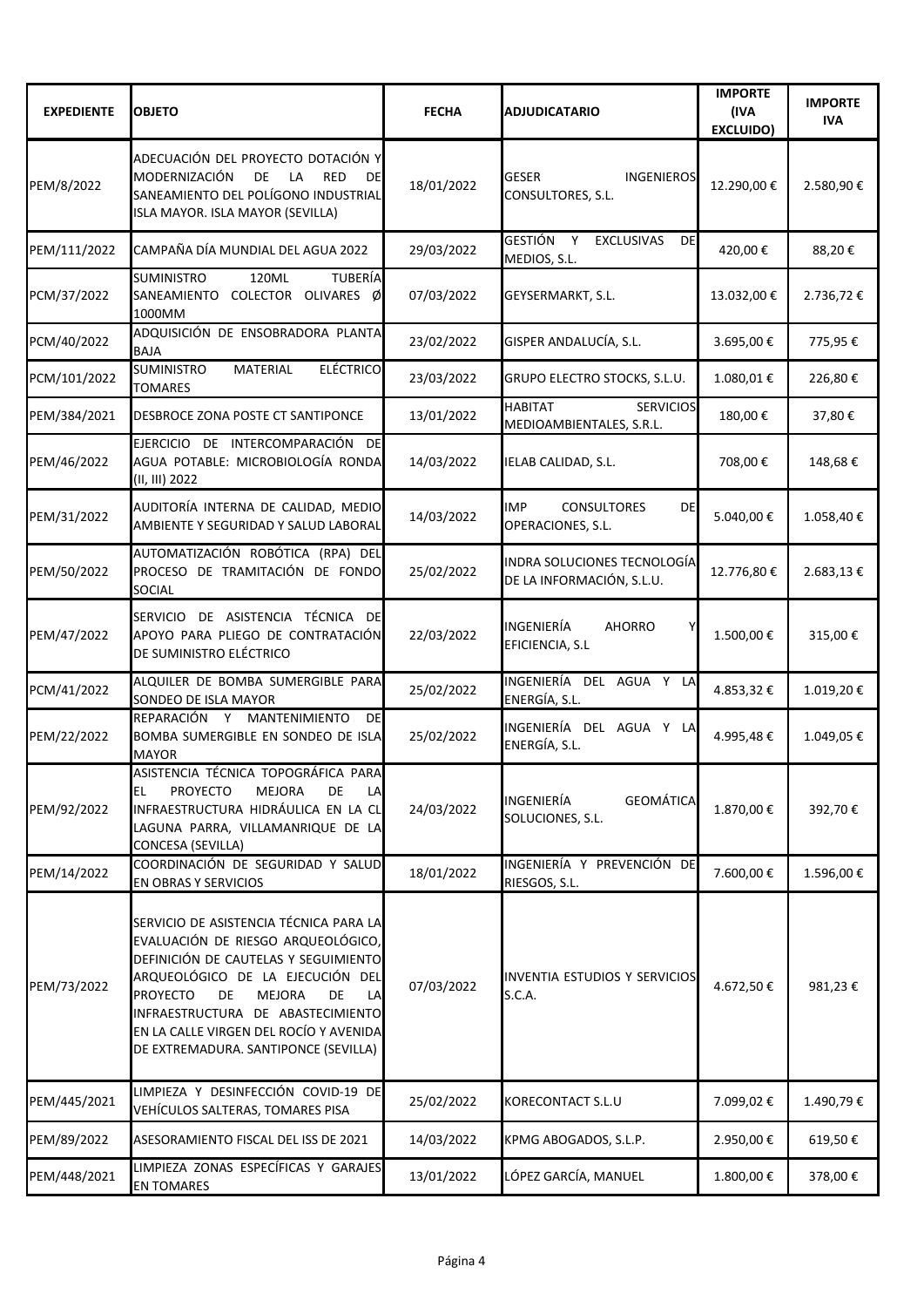| <b>EXPEDIENTE</b> | <b>OBJETO</b>                                                                                                                                                                                                                                                                                                                         | <b>FECHA</b> | <b>ADJUDICATARIO</b>                                                  | <b>IMPORTE</b><br>(IVA<br><b>EXCLUIDO)</b> | <b>IMPORTE</b><br><b>IVA</b> |
|-------------------|---------------------------------------------------------------------------------------------------------------------------------------------------------------------------------------------------------------------------------------------------------------------------------------------------------------------------------------|--------------|-----------------------------------------------------------------------|--------------------------------------------|------------------------------|
| PEM/8/2022        | ADECUACIÓN DEL PROYECTO DOTACIÓN Y<br>MODERNIZACIÓN<br>DE<br>LA<br><b>RED</b><br><b>DE</b><br>SANEAMIENTO DEL POLÍGONO INDUSTRIAL<br>ISLA MAYOR. ISLA MAYOR (SEVILLA)                                                                                                                                                                 | 18/01/2022   | <b>GESER</b><br><b>INGENIEROS</b><br>CONSULTORES, S.L.                | 12.290,00€                                 | 2.580,90€                    |
| PEM/111/2022      | CAMPAÑA DÍA MUNDIAL DEL AGUA 2022                                                                                                                                                                                                                                                                                                     | 29/03/2022   | <b>GESTIÓN</b><br><b>EXCLUSIVAS</b><br><b>DE</b><br>Y<br>MEDIOS, S.L. | 420,00€                                    | 88,20€                       |
| PCM/37/2022       | <b>TUBERÍA</b><br><b>SUMINISTRO</b><br>120ML<br>COLECTOR OLIVARES Ø<br>SANEAMIENTO<br>1000MM                                                                                                                                                                                                                                          | 07/03/2022   | GEYSERMARKT, S.L.                                                     | 13.032,00€                                 | 2.736,72€                    |
| PCM/40/2022       | ADQUISICIÓN DE ENSOBRADORA PLANTA<br><b>BAJA</b>                                                                                                                                                                                                                                                                                      | 23/02/2022   | GISPER ANDALUCÍA, S.L.                                                | 3.695,00€                                  | 775,95€                      |
| PCM/101/2022      | <b>ELÉCTRICO</b><br><b>SUMINISTRO</b><br><b>MATERIAL</b><br><b>TOMARES</b>                                                                                                                                                                                                                                                            | 23/03/2022   | GRUPO ELECTRO STOCKS, S.L.U.                                          | 1.080,01€                                  | 226,80€                      |
| PEM/384/2021      | DESBROCE ZONA POSTE CT SANTIPONCE                                                                                                                                                                                                                                                                                                     | 13/01/2022   | <b>HABITAT</b><br><b>SERVICIOS</b><br>MEDIOAMBIENTALES, S.R.L.        | 180,00€                                    | 37,80€                       |
| PEM/46/2022       | EJERCICIO DE INTERCOMPARACIÓN DE<br>AGUA POTABLE: MICROBIOLOGÍA RONDA<br>(II, III) 2022                                                                                                                                                                                                                                               | 14/03/2022   | IELAB CALIDAD, S.L.                                                   | 708,00€                                    | 148,68€                      |
| PEM/31/2022       | AUDITORÍA INTERNA DE CALIDAD, MEDIO<br>AMBIENTE Y SEGURIDAD Y SALUD LABORAL                                                                                                                                                                                                                                                           | 14/03/2022   | <b>DE</b><br><b>IMP</b><br><b>CONSULTORES</b><br>OPERACIONES, S.L.    | 5.040,00€                                  | 1.058,40€                    |
| PEM/50/2022       | AUTOMATIZACIÓN ROBÓTICA (RPA) DEL<br>PROCESO DE TRAMITACIÓN DE FONDO<br>SOCIAL                                                                                                                                                                                                                                                        | 25/02/2022   | INDRA SOLUCIONES TECNOLOGÍA<br>DE LA INFORMACIÓN, S.L.U.              | 12.776,80€                                 | 2.683,13€                    |
| PEM/47/2022       | SERVICIO DE ASISTENCIA TÉCNICA DE<br>APOYO PARA PLIEGO DE CONTRATACIÓN<br>DE SUMINISTRO ELÉCTRICO                                                                                                                                                                                                                                     | 22/03/2022   | INGENIERÍA<br><b>AHORRO</b><br>EFICIENCIA, S.L                        | 1.500,00€                                  | 315,00€                      |
| PCM/41/2022       | ALQUILER DE BOMBA SUMERGIBLE PARA<br>SONDEO DE ISLA MAYOR                                                                                                                                                                                                                                                                             | 25/02/2022   | INGENIERÍA<br>DEL AGUA Y LA<br>ENERGÍA, S.L.                          | 4.853,32€                                  | 1.019,20€                    |
| PEM/22/2022       | REPARACIÓN Y MANTENIMIENTO<br>DE<br>BOMBA SUMERGIBLE EN SONDEO DE ISLA<br><b>MAYOR</b>                                                                                                                                                                                                                                                | 25/02/2022   | INGENIERÍA DEL AGUA Y LA<br>ENERGÍA, S.L.                             | 4.995,48€                                  | 1.049,05€                    |
| PEM/92/2022       | ASISTENCIA TÉCNICA TOPOGRÁFICA PARA<br><b>PROYECTO</b><br><b>MEJORA</b><br>DE<br>EL<br>LA<br>INFRAESTRUCTURA HIDRÁULICA EN LA CL<br>LAGUNA PARRA, VILLAMANRIQUE DE LA<br>CONCESA (SEVILLA)                                                                                                                                            | 24/03/2022   | <b>INGENIERÍA</b><br><b>GEOMÁTICA</b><br>SOLUCIONES, S.L.             | 1.870,00€                                  | 392,70€                      |
| PEM/14/2022       | COORDINACIÓN DE SEGURIDAD Y SALUD<br>EN OBRAS Y SERVICIOS                                                                                                                                                                                                                                                                             | 18/01/2022   | INGENIERÍA Y PREVENCIÓN DE<br>RIESGOS, S.L.                           | 7.600,00€                                  | 1.596,00€                    |
| PEM/73/2022       | SERVICIO DE ASISTENCIA TÉCNICA PARA LA<br>EVALUACIÓN DE RIESGO ARQUEOLÓGICO,<br>DEFINICIÓN DE CAUTELAS Y SEGUIMIENTO<br>ARQUEOLÓGICO DE LA EJECUCIÓN DEL<br><b>PROYECTO</b><br>DE<br><b>MEJORA</b><br>DE<br>LA<br>INFRAESTRUCTURA DE ABASTECIMIENTO<br>EN LA CALLE VIRGEN DEL ROCÍO Y AVENIDA<br>DE EXTREMADURA. SANTIPONCE (SEVILLA) | 07/03/2022   | INVENTIA ESTUDIOS Y SERVICIOS<br>S.C.A.                               | 4.672,50€                                  | 981,23€                      |
| PEM/445/2021      | LIMPIEZA Y DESINFECCIÓN COVID-19 DE<br>VEHÍCULOS SALTERAS, TOMARES PISA                                                                                                                                                                                                                                                               | 25/02/2022   | <b>KORECONTACT S.L.U</b>                                              | 7.099,02€                                  | 1.490,79€                    |
| PEM/89/2022       | ASESORAMIENTO FISCAL DEL ISS DE 2021                                                                                                                                                                                                                                                                                                  | 14/03/2022   | KPMG ABOGADOS, S.L.P.                                                 | 2.950,00€                                  | 619,50€                      |
| PEM/448/2021      | LIMPIEZA ZONAS ESPECÍFICAS Y GARAJES<br><b>EN TOMARES</b>                                                                                                                                                                                                                                                                             | 13/01/2022   | LÓPEZ GARCÍA, MANUEL                                                  | 1.800,00€                                  | 378,00€                      |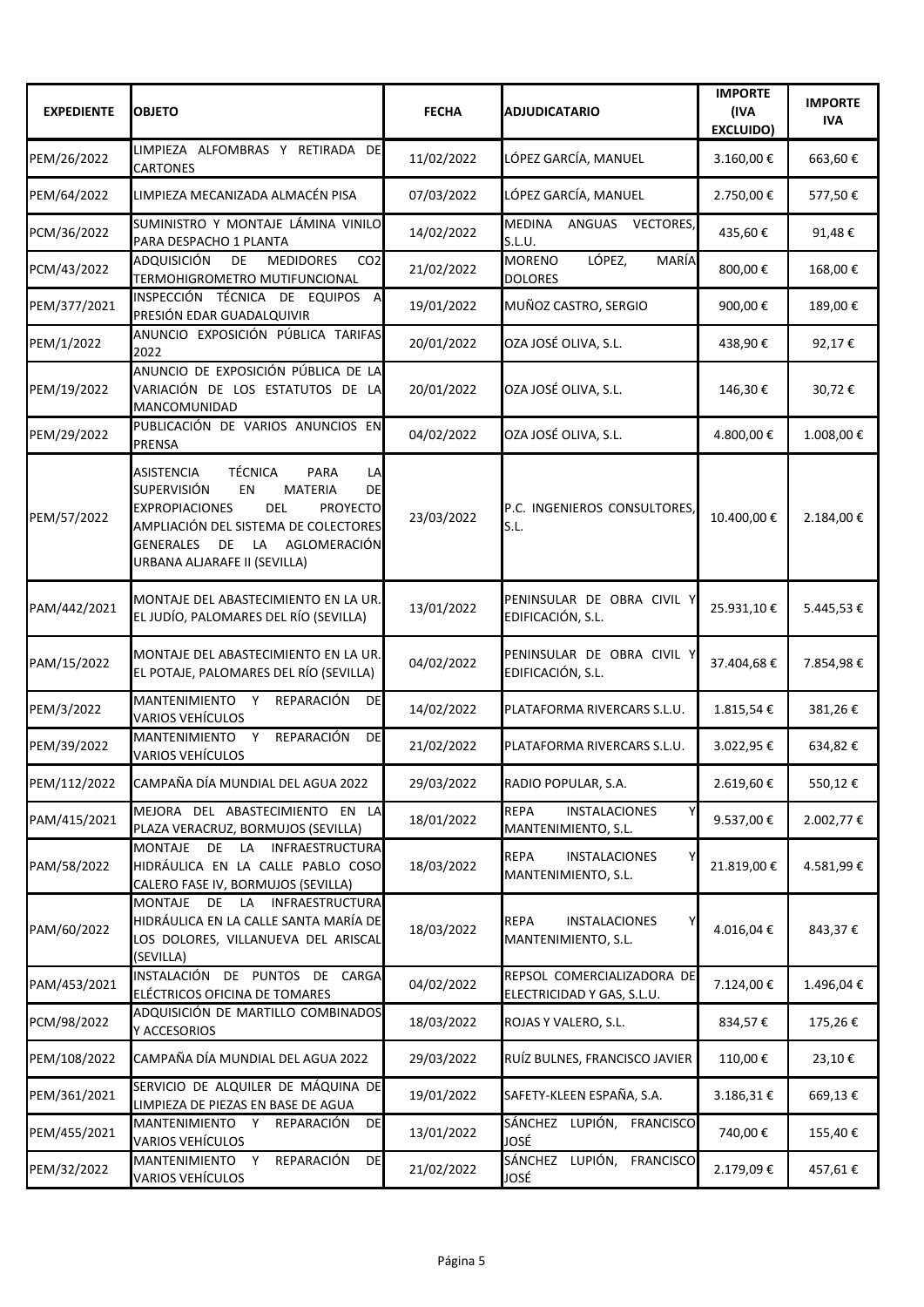| <b>EXPEDIENTE</b> | <b>OBJETO</b>                                                                                                                                                                                                                                                                                                       | <b>FECHA</b> | <b>ADJUDICATARIO</b>                                            | <b>IMPORTE</b><br>(IVA<br><b>EXCLUIDO)</b> | <b>IMPORTE</b><br><b>IVA</b> |
|-------------------|---------------------------------------------------------------------------------------------------------------------------------------------------------------------------------------------------------------------------------------------------------------------------------------------------------------------|--------------|-----------------------------------------------------------------|--------------------------------------------|------------------------------|
| PEM/26/2022       | LIMPIEZA ALFOMBRAS Y RETIRADA DE<br><b>CARTONES</b>                                                                                                                                                                                                                                                                 | 11/02/2022   | LÓPEZ GARCÍA, MANUEL                                            | 3.160,00€                                  | 663,60€                      |
| PEM/64/2022       | LIMPIEZA MECANIZADA ALMACÉN PISA                                                                                                                                                                                                                                                                                    | 07/03/2022   | LÓPEZ GARCÍA, MANUEL                                            | 2.750,00€                                  | 577,50€                      |
| PCM/36/2022       | SUMINISTRO Y MONTAJE LÁMINA VINILO<br>PARA DESPACHO 1 PLANTA                                                                                                                                                                                                                                                        | 14/02/2022   | MEDINA ANGUAS<br><b>VECTORES,</b><br>S.L.U.                     | 435,60€                                    | 91,48€                       |
| PCM/43/2022       | <b>ADQUISICIÓN</b><br>CO <sub>2</sub><br>DE<br><b>MEDIDORES</b><br>TERMOHIGROMETRO MUTIFUNCIONAL                                                                                                                                                                                                                    | 21/02/2022   | LÓPEZ,<br><b>MORENO</b><br>MARÍA<br><b>DOLORES</b>              | 800,00€                                    | 168,00€                      |
| PEM/377/2021      | INSPECCIÓN TÉCNICA DE EQUIPOS A<br>PRESIÓN EDAR GUADALQUIVIR                                                                                                                                                                                                                                                        | 19/01/2022   | MUÑOZ CASTRO, SERGIO                                            | 900,00€                                    | 189,00€                      |
| PEM/1/2022        | ANUNCIO EXPOSICIÓN PÚBLICA TARIFAS<br>2022                                                                                                                                                                                                                                                                          | 20/01/2022   | OZA JOSÉ OLIVA, S.L.                                            | 438,90€                                    | 92,17€                       |
| PEM/19/2022       | ANUNCIO DE EXPOSICIÓN PÚBLICA DE LA<br>VARIACIÓN DE LOS ESTATUTOS DE LA<br>MANCOMUNIDAD                                                                                                                                                                                                                             | 20/01/2022   | OZA JOSÉ OLIVA, S.L.                                            | 146,30€                                    | 30,72€                       |
| PEM/29/2022       | PUBLICACIÓN DE VARIOS ANUNCIOS EN<br><b>PRENSA</b>                                                                                                                                                                                                                                                                  | 04/02/2022   | OZA JOSÉ OLIVA, S.L.                                            | 4.800,00€                                  | 1.008,00€                    |
| PEM/57/2022       | <b>TÉCNICA</b><br><b>ASISTENCIA</b><br><b>PARA</b><br>LA<br><b>SUPERVISIÓN</b><br><b>EN</b><br><b>MATERIA</b><br><b>DE</b><br><b>DEL</b><br><b>EXPROPIACIONES</b><br><b>PROYECTO</b><br>AMPLIACIÓN DEL SISTEMA DE COLECTORES<br><b>GENERALES</b><br>AGLOMERACIÓN<br>DE<br><b>LA</b><br>URBANA ALJARAFE II (SEVILLA) | 23/03/2022   | P.C. INGENIEROS CONSULTORES,<br>S.L.                            | 10.400,00€                                 | 2.184,00€                    |
| PAM/442/2021      | MONTAJE DEL ABASTECIMIENTO EN LA UR.<br>EL JUDÍO, PALOMARES DEL RÍO (SEVILLA)                                                                                                                                                                                                                                       | 13/01/2022   | PENINSULAR DE OBRA CIVIL Y<br>EDIFICACIÓN, S.L.                 | 25.931,10€                                 | 5.445,53€                    |
| PAM/15/2022       | MONTAJE DEL ABASTECIMIENTO EN LA UR.<br>EL POTAJE, PALOMARES DEL RÍO (SEVILLA)                                                                                                                                                                                                                                      | 04/02/2022   | PENINSULAR DE OBRA CIVIL Y<br>EDIFICACIÓN, S.L.                 | 37.404,68€                                 | 7.854,98€                    |
| PEM/3/2022        | MANTENIMIENTO Y<br>REPARACIÓN<br>DE<br>VARIOS VEHÍCULOS                                                                                                                                                                                                                                                             | 14/02/2022   | PLATAFORMA RIVERCARS S.L.U.                                     | 1.815,54€                                  | 381,26€                      |
| PEM/39/2022       | REPARACIÓN<br>MANTENIMIENTO Y<br>DE<br><b>VARIOS VEHÍCULOS</b>                                                                                                                                                                                                                                                      | 21/02/2022   | PLATAFORMA RIVERCARS S.L.U.                                     | 3.022,95€                                  | 634,82€                      |
| PEM/112/2022      | CAMPAÑA DÍA MUNDIAL DEL AGUA 2022                                                                                                                                                                                                                                                                                   | 29/03/2022   | RADIO POPULAR, S.A.                                             | 2.619,60€                                  | 550,12€                      |
| PAM/415/2021      | MEJORA DEL ABASTECIMIENTO EN LA<br>PLAZA VERACRUZ, BORMUJOS (SEVILLA)                                                                                                                                                                                                                                               | 18/01/2022   | <b>REPA</b><br><b>INSTALACIONES</b><br>Y<br>MANTENIMIENTO, S.L. | 9.537,00 €                                 | 2.002,77€                    |
| PAM/58/2022       | <b>MONTAJE</b><br>DE<br><b>INFRAESTRUCTURA</b><br>LA<br>HIDRÁULICA EN LA CALLE PABLO COSO<br>CALERO FASE IV, BORMUJOS (SEVILLA)                                                                                                                                                                                     | 18/03/2022   | <b>REPA</b><br><b>INSTALACIONES</b><br>Y<br>MANTENIMIENTO, S.L. | 21.819,00€                                 | 4.581,99€                    |
| PAM/60/2022       | <b>MONTAJE</b><br>DE<br><b>INFRAESTRUCTURA</b><br>LA<br>HIDRÁULICA EN LA CALLE SANTA MARÍA DE<br>LOS DOLORES, VILLANUEVA DEL ARISCAL<br>(SEVILLA)                                                                                                                                                                   | 18/03/2022   | <b>REPA</b><br><b>INSTALACIONES</b><br>MANTENIMIENTO, S.L.      | 4.016,04€                                  | 843,37€                      |
| PAM/453/2021      | INSTALACIÓN DE PUNTOS<br>DE<br>CARGA<br>ELÉCTRICOS OFICINA DE TOMARES                                                                                                                                                                                                                                               | 04/02/2022   | REPSOL COMERCIALIZADORA DE<br>ELECTRICIDAD Y GAS, S.L.U.        | 7.124,00€                                  | 1.496,04€                    |
| PCM/98/2022       | ADQUISICIÓN DE MARTILLO COMBINADOS<br>Y ACCESORIOS                                                                                                                                                                                                                                                                  | 18/03/2022   | ROJAS Y VALERO, S.L.                                            | 834,57€                                    | 175,26€                      |
| PEM/108/2022      | CAMPAÑA DÍA MUNDIAL DEL AGUA 2022                                                                                                                                                                                                                                                                                   | 29/03/2022   | RUÍZ BULNES, FRANCISCO JAVIER                                   | 110,00€                                    | 23,10€                       |
| PEM/361/2021      | SERVICIO DE ALQUILER DE MÁQUINA DE<br>LIMPIEZA DE PIEZAS EN BASE DE AGUA                                                                                                                                                                                                                                            | 19/01/2022   | SAFETY-KLEEN ESPAÑA, S.A.                                       | 3.186,31€                                  | 669,13€                      |
| PEM/455/2021      | MANTENIMIENTO Y<br>REPARACIÓN<br><b>DE</b><br><b>VARIOS VEHÍCULOS</b>                                                                                                                                                                                                                                               | 13/01/2022   | SÁNCHEZ LUPIÓN,<br><b>FRANCISCO</b><br>JOSÉ                     | 740,00€                                    | 155,40€                      |
| PEM/32/2022       | MANTENIMIENTO Y<br>REPARACIÓN<br>DE<br><b>VARIOS VEHÍCULOS</b>                                                                                                                                                                                                                                                      | 21/02/2022   | SÁNCHEZ LUPIÓN,<br><b>FRANCISCO</b><br>JOSÉ                     | 2.179,09€                                  | 457,61€                      |